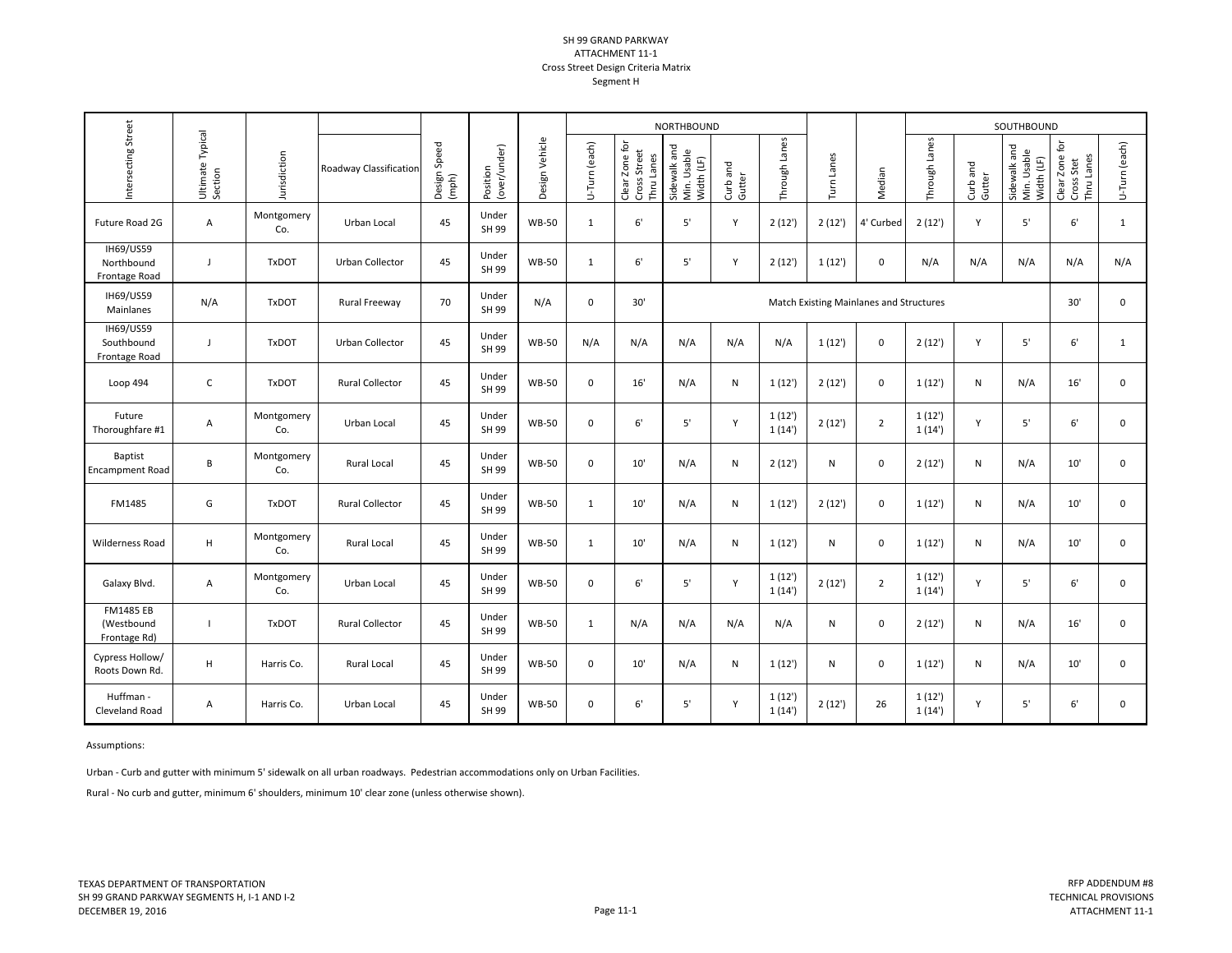## SH 99 GRAND PARKWAY ATTACHMENT 11‐1Cross Street Design Criteria Matrix Segment H

|                                                 |                             |                   |                        |                       |                          |                |               |                                              | NORTHBOUND                                |                    |                 |            |                |                 |                    | SOUTHBOUND                                |                                            |               |
|-------------------------------------------------|-----------------------------|-------------------|------------------------|-----------------------|--------------------------|----------------|---------------|----------------------------------------------|-------------------------------------------|--------------------|-----------------|------------|----------------|-----------------|--------------------|-------------------------------------------|--------------------------------------------|---------------|
| Intersecting Street                             | Ultimate Typical<br>Section | Jurisdiction      | Roadway Classification | Design Speed<br>(mph) | Position<br>(over/under) | Design Vehicle | U-Turn (each) | Clear Zone for<br>Cross Street<br>Thru Lanes | Sidewalk and<br>Min. Usable<br>Width (LF) | Curb and<br>Gutter | Through Lanes   | Turn Lanes | Median         | Through Lanes   | Curb and<br>Gutter | Sidewalk and<br>Min. Usable<br>Width (LF) | Clear Zone for<br>Thru Lanes<br>Cross Stet | U-Turn (each) |
| Future Road 2G                                  | $\mathsf{A}$                | Montgomery<br>Co. | Urban Local            | 45                    | Under<br>SH 99           | <b>WB-50</b>   | $\mathbf{1}$  | $6'$                                         | 5'                                        | Y                  | 2(12')          | 2(12')     | 4' Curbed      | 2(12')          | Y                  | $5'$                                      | $6'$                                       | $\mathbf{1}$  |
| <b>IH69/US59</b><br>Northbound<br>Frontage Road | $\blacksquare$              | <b>TxDOT</b>      | Urban Collector        | 45                    | Under<br>SH 99           | <b>WB-50</b>   | $\mathbf{1}$  | $6'$                                         | 5'                                        | Y                  | 2(12')          | 1(12)      | 0              | N/A             | N/A                | N/A                                       | N/A                                        | N/A           |
| IH69/US59<br>Mainlanes                          | N/A                         | <b>TxDOT</b>      | Rural Freeway          | 70                    | Under<br>SH 99           | N/A            | $\mathbf 0$   | 30'                                          | Match Existing Mainlanes and Structures   |                    |                 |            |                |                 |                    |                                           |                                            | 0             |
| IH69/US59<br>Southbound<br>Frontage Road        | J                           | <b>TxDOT</b>      | Urban Collector        | 45                    | Under<br>SH 99           | <b>WB-50</b>   | N/A           | N/A                                          | N/A                                       | N/A                | N/A             | 1(12')     | 0              | 2(12')          | Y                  | $5'$                                      | 6'                                         | $\mathbf{1}$  |
| Loop 494                                        | $\mathsf C$                 | <b>TxDOT</b>      | <b>Rural Collector</b> | 45                    | Under<br>SH 99           | <b>WB-50</b>   | $\mathbf 0$   | 16'                                          | N/A                                       | N                  | 1(12')          | 2(12')     | 0              | 1(12')          | N                  | N/A                                       | 16'                                        | $\mathbf 0$   |
| Future<br>Thoroughfare #1                       | $\mathsf{A}$                | Montgomery<br>Co. | Urban Local            | 45                    | Under<br>SH 99           | <b>WB-50</b>   | $\mathbf 0$   | 6'                                           | 5'                                        | Y                  | 1(12)<br>1(14)  | 2(12')     | $\overline{2}$ | 1(12')<br>1(14) | Υ                  | $5'$                                      | $6'$                                       | $\mathbf 0$   |
| <b>Baptist</b><br><b>Encampment Road</b>        | В                           | Montgomery<br>Co. | Rural Local            | 45                    | Under<br>SH 99           | <b>WB-50</b>   | $\mathbf 0$   | 10'                                          | N/A                                       | $\mathsf{N}$       | 2(12')          | N          | $\mathbf 0$    | 2(12')          | N                  | N/A                                       | 10'                                        | $\mathbf 0$   |
| FM1485                                          | G                           | <b>TxDOT</b>      | <b>Rural Collector</b> | 45                    | Under<br>SH 99           | <b>WB-50</b>   | 1             | 10'                                          | N/A                                       | ${\sf N}$          | 1(12)           | 2(12')     | 0              | 1(12')          | ${\sf N}$          | N/A                                       | 10'                                        | $\mathbf 0$   |
| <b>Wilderness Road</b>                          | $\mathsf H$                 | Montgomery<br>Co. | <b>Rural Local</b>     | 45                    | Under<br>SH 99           | <b>WB-50</b>   | 1             | 10'                                          | N/A                                       | $\mathsf{N}$       | 1(12')          | N          | $\mathbf{0}$   | 1(12')          | N                  | N/A                                       | 10'                                        | $\mathbf 0$   |
| Galaxy Blvd.                                    | $\mathsf{A}$                | Montgomery<br>Co. | Urban Local            | 45                    | Under<br>SH 99           | <b>WB-50</b>   | 0             | 6'                                           | 5'                                        | Y                  | 1(12')<br>1(14) | 2(12')     | $\overline{2}$ | 1(12')<br>1(14) | Y                  | $5'$                                      | $6'$                                       | $\mathbf 0$   |
| <b>FM1485 EB</b><br>(Westbound<br>Frontage Rd)  |                             | <b>TxDOT</b>      | <b>Rural Collector</b> | 45                    | Under<br>SH 99           | <b>WB-50</b>   | $\mathbf{1}$  | N/A                                          | N/A                                       | N/A                | N/A             | N          | 0              | 2(12')          | N                  | N/A                                       | 16'                                        | 0             |
| Cypress Hollow/<br>Roots Down Rd.               | H                           | Harris Co.        | Rural Local            | 45                    | Under<br>SH 99           | <b>WB-50</b>   | $\mathbf 0$   | 10'                                          | N/A                                       | $\mathsf{N}$       | 1(12')          | N          | 0              | 1(12')          | N                  | N/A                                       | 10'                                        | 0             |
| Huffman -<br>Cleveland Road                     | Α                           | Harris Co.        | Urban Local            | 45                    | Under<br>SH 99           | <b>WB-50</b>   | $\mathbf 0$   | 6'                                           | 5'                                        | Y                  | 1(12')<br>1(14) | 2(12')     | 26             | 1(12)<br>1(14)  | Y                  | 5'                                        | 6'                                         | 0             |

Assumptions:

Urban ‐ Curb and gutter with minimum 5' sidewalk on all urban roadways. Pedestrian accommodations only on Urban Facilities.

Rural ‐ No curb and gutter, minimum 6' shoulders, minimum 10' clear zone (unless otherwise shown).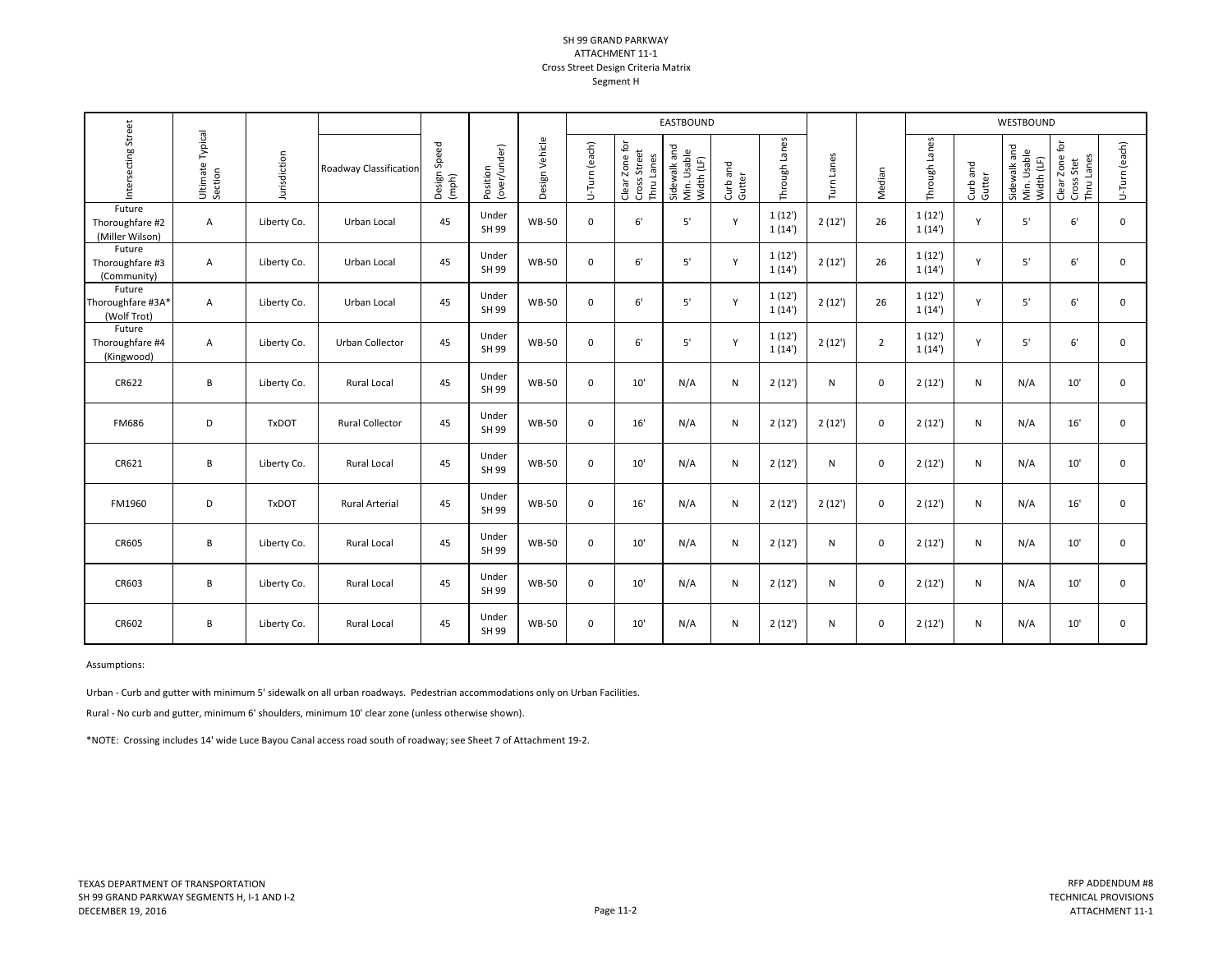## SH 99 GRAND PARKWAY ATTACHMENT 11‐1Cross Street Design Criteria Matrix Segment H

|                                              |                             |              |                        |                       |                          |                |               | EASTBOUND                                    |                                           |                    |                  |              |                |                 |                    | WESTBOUND                                 |                                            |               |
|----------------------------------------------|-----------------------------|--------------|------------------------|-----------------------|--------------------------|----------------|---------------|----------------------------------------------|-------------------------------------------|--------------------|------------------|--------------|----------------|-----------------|--------------------|-------------------------------------------|--------------------------------------------|---------------|
| Intersecting Street                          | Ultimate Typical<br>Section | Jurisdiction | Roadway Classification | Design Speed<br>(mph) | Position<br>(over/under) | Design Vehicle | U-Turn (each) | Clear Zone for<br>Cross Street<br>Thru Lanes | Sidewalk and<br>Min. Usable<br>Width (LF) | Curb and<br>Gutter | Through Lanes    | Turn Lanes   | Median         | Through Lanes   | Curb and<br>Gutter | Sidewalk and<br>Min. Usable<br>Width (LF) | Clear Zone for<br>Thru Lanes<br>Cross Stet | U-Turn (each) |
| Future<br>Thoroughfare #2<br>(Miller Wilson) | Α                           | Liberty Co.  | Urban Local            | 45                    | Under<br>SH 99           | <b>WB-50</b>   | $\mathbf 0$   | 6'                                           | 5'                                        | Y                  | 1(12')<br>1(14') | 2(12')       | 26             | 1(12')<br>1(14) | Y                  | 5'                                        | 6'                                         | 0             |
| Future<br>Thoroughfare #3<br>(Community)     | Α                           | Liberty Co.  | Urban Local            | 45                    | Under<br>SH 99           | <b>WB-50</b>   | $\mathbf 0$   | 6'                                           | 5'                                        | Y                  | 1(12')<br>1(14)  | 2(12')       | 26             | 1(12')<br>1(14) | Y                  | 5'                                        | 6'                                         | $\mathbf 0$   |
| Future<br>Thoroughfare #3A*<br>(Wolf Trot)   | Α                           | Liberty Co.  | Urban Local            | 45                    | Under<br>SH 99           | <b>WB-50</b>   | $\mathbf 0$   | 6'                                           | 5'                                        | $\mathsf{v}$       | 1(12')<br>1(14)  | 2(12')       | 26             | 1(12')<br>1(14) | $\mathsf{Y}$       | 5'                                        | 6'                                         | $\mathbf 0$   |
| Future<br>Thoroughfare #4<br>(Kingwood)      | Α                           | Liberty Co.  | Urban Collector        | 45                    | Under<br>SH 99           | <b>WB-50</b>   | $\Omega$      | 6'                                           | 5'                                        | Y                  | 1(12')<br>1(14)  | 2(12')       | $\overline{2}$ | 1(12')<br>1(14) | Y                  | 5'                                        | 6'                                         | $\mathbf 0$   |
| CR622                                        | B                           | Liberty Co.  | Rural Local            | 45                    | Under<br>SH 99           | <b>WB-50</b>   | $\mathbf 0$   | 10'                                          | N/A                                       | ${\sf N}$          | 2(12')           | $\mathsf{N}$ | $\mathbf 0$    | 2(12')          | ${\sf N}$          | N/A                                       | 10'                                        | $\mathbf 0$   |
| <b>FM686</b>                                 | D                           | <b>TxDOT</b> | <b>Rural Collector</b> | 45                    | Under<br>SH 99           | <b>WB-50</b>   | $\mathbf 0$   | 16'                                          | N/A                                       | N                  | 2(12')           | 2(12')       | $\mathbf 0$    | 2(12')          | N                  | N/A                                       | 16'                                        | $\mathbf 0$   |
| CR621                                        | В                           | Liberty Co.  | Rural Local            | 45                    | Under<br>SH 99           | <b>WB-50</b>   | $\mathbf 0$   | 10'                                          | N/A                                       | ${\sf N}$          | 2(12')           | $\mathsf{N}$ | $\mathbf 0$    | 2(12')          | ${\sf N}$          | N/A                                       | 10'                                        | $\mathbf 0$   |
| FM1960                                       | D                           | <b>TxDOT</b> | <b>Rural Arterial</b>  | 45                    | Under<br>SH 99           | <b>WB-50</b>   | $\mathbf 0$   | 16'                                          | N/A                                       | N                  | 2(12')           | 2(12')       | $\mathbf 0$    | 2(12')          | N                  | N/A                                       | 16'                                        | $\mathbf 0$   |
| CR605                                        | В                           | Liberty Co.  | Rural Local            | 45                    | Under<br>SH 99           | <b>WB-50</b>   | $\mathbf 0$   | 10'                                          | N/A                                       | N                  | 2(12')           | N            | $\mathbf 0$    | 2(12')          | N                  | N/A                                       | 10'                                        | $\mathbf 0$   |
| CR603                                        | B                           | Liberty Co.  | Rural Local            | 45                    | Under<br>SH 99           | <b>WB-50</b>   | $\mathbf 0$   | 10'                                          | N/A                                       | ${\sf N}$          | 2(12')           | $\mathsf{N}$ | $\mathbf 0$    | 2(12')          | ${\sf N}$          | N/A                                       | 10'                                        | $\mathbf 0$   |
| CR602                                        | B                           | Liberty Co.  | Rural Local            | 45                    | Under<br>SH 99           | <b>WB-50</b>   | $\mathbf 0$   | 10'                                          | N/A                                       | N                  | 2(12')           | N            | 0              | 2(12')          | N                  | N/A                                       | 10'                                        | 0             |

Assumptions:

Urban ‐ Curb and gutter with minimum 5' sidewalk on all urban roadways. Pedestrian accommodations only on Urban Facilities.

Rural ‐ No curb and gutter, minimum 6' shoulders, minimum 10' clear zone (unless otherwise shown).

\*NOTE: Crossing includes 14' wide Luce Bayou Canal access road south of roadway; see Sheet 7 of Attachment 19‐2.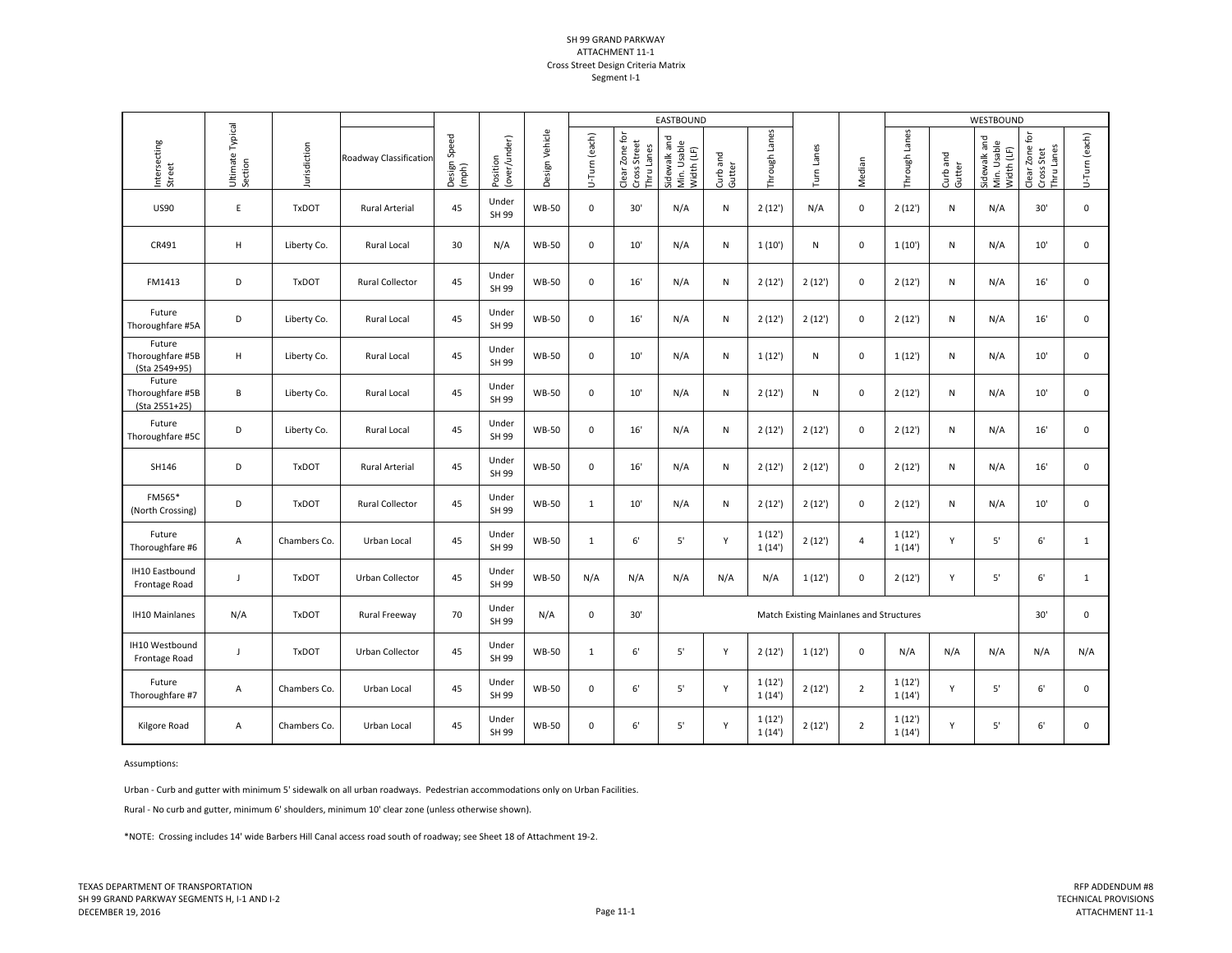## SH 99 GRAND PARKWAY ATTACHMENT 11‐1 Cross Street Design Criteria Matrix Segment I-1

|                                             |                             |              |                        |                       |                          |                | EASTBOUND     |                                              |                                           |                    |                 |            |                |                |                    | WESTBOUND                                 |                                            |               |
|---------------------------------------------|-----------------------------|--------------|------------------------|-----------------------|--------------------------|----------------|---------------|----------------------------------------------|-------------------------------------------|--------------------|-----------------|------------|----------------|----------------|--------------------|-------------------------------------------|--------------------------------------------|---------------|
| Intersecting<br>Street                      | Ultimate Typical<br>Section | Jurisdiction | Roadway Classification | Design Speed<br>(mph) | Position<br>(over/under) | Design Vehicle | U-Turn (each) | Clear Zone for<br>Cross Street<br>Thru Lanes | Sidewalk and<br>Min. Usable<br>Width (LF) | Curb and<br>Gutter | Through Lanes   | Turn Lanes | Median         | Through Lanes  | Curb and<br>Gutter | Sidewalk and<br>Min. Usable<br>Width (LF) | Clear Zone for<br>Thru Lanes<br>Cross Stet | U-Turn (each) |
| <b>US90</b>                                 | E                           | <b>TxDOT</b> | <b>Rural Arterial</b>  | 45                    | Under<br>SH 99           | <b>WB-50</b>   | $\mathbf 0$   | 30'                                          | N/A                                       | $\mathsf{N}$       | 2(12')          | N/A        | 0              | 2(12')         | N                  | N/A                                       | 30'                                        | $\mathbf 0$   |
| CR491                                       | н                           | Liberty Co.  | Rural Local            | 30                    | N/A                      | <b>WB-50</b>   | $\pmb{0}$     | 10'                                          | N/A                                       | N                  | 1(10')          | ${\sf N}$  | 0              | 1(10)          | N                  | N/A                                       | 10'                                        | $\mathsf 0$   |
| FM1413                                      | D                           | <b>TxDOT</b> | Rural Collector        | 45                    | Under<br>SH 99           | <b>WB-50</b>   | $\mathbf 0$   | 16'                                          | N/A                                       | ${\sf N}$          | 2(12')          | 2(12')     | 0              | 2(12')         | N                  | N/A                                       | 16'                                        | 0             |
| Future<br>Thoroughfare #5A                  | D                           | Liberty Co.  | Rural Local            | 45                    | Under<br>SH 99           | <b>WB-50</b>   | $\mathbf 0$   | 16'                                          | N/A                                       | N                  | 2(12')          | 2(12')     | 0              | 2(12')         | N                  | N/A                                       | 16'                                        | $\mathbf 0$   |
| Future<br>Thoroughfare #5B<br>(Sta 2549+95) | н                           | Liberty Co.  | Rural Local            | 45                    | Under<br>SH 99           | <b>WB-50</b>   | $\mathbf 0$   | 10'                                          | N/A                                       | ${\sf N}$          | 1(12')          | ${\sf N}$  | 0              | 1(12')         | N                  | N/A                                       | 10'                                        | $\mathsf 0$   |
| Future<br>Thoroughfare #5B<br>(Sta 2551+25) | B                           | Liberty Co.  | Rural Local            | 45                    | Under<br>SH 99           | <b>WB-50</b>   | $\mathbf 0$   | 10'                                          | N/A                                       | N                  | 2(12')          | N          | $\mathbf 0$    | 2(12')         | N                  | N/A                                       | 10'                                        | $\mathbf 0$   |
| Future<br>Thoroughfare #5C                  | D                           | Liberty Co.  | Rural Local            | 45                    | Under<br>SH 99           | <b>WB-50</b>   | $\mathbf 0$   | 16'                                          | N/A                                       | N                  | 2(12')          | 2(12')     | 0              | 2(12')         | N                  | N/A                                       | 16'                                        | $\mathbf 0$   |
| SH146                                       | D                           | <b>TxDOT</b> | <b>Rural Arterial</b>  | 45                    | Under<br>SH 99           | <b>WB-50</b>   | 0             | 16'                                          | N/A                                       | N                  | 2(12')          | 2(12')     | 0              | 2(12')         | Ν                  | N/A                                       | 16'                                        | $\mathbf 0$   |
| FM565*<br>(North Crossing)                  | D                           | <b>TxDOT</b> | Rural Collector        | 45                    | Under<br>SH 99           | <b>WB-50</b>   | $\mathbf{1}$  | 10'                                          | N/A                                       | N                  | 2(12')          | 2(12')     | $\mathbf 0$    | 2(12')         | N                  | N/A                                       | 10'                                        | $\mathbf 0$   |
| Future<br>Thoroughfare #6                   | А                           | Chambers Co. | Urban Local            | 45                    | Under<br>SH 99           | <b>WB-50</b>   | $\mathbf{1}$  | 6'                                           | 5'                                        | Y                  | 1(12')<br>1(14) | 2(12')     | $\overline{4}$ | 1(12)<br>1(14) | Y                  | $5^{\circ}$                               | 6'                                         | $\mathbf{1}$  |
| IH10 Eastbound<br>Frontage Road             | $\overline{1}$              | <b>TxDOT</b> | Urban Collector        | 45                    | Under<br>SH 99           | <b>WB-50</b>   | N/A           | N/A                                          | N/A                                       | N/A                | N/A             | 1(12)      | $\mathbf 0$    | 2(12')         | Y                  | 5'                                        | 6'                                         | 1             |
| <b>IH10 Mainlanes</b>                       | N/A                         | <b>TxDOT</b> | Rural Freeway          | 70                    | Under<br>SH 99           | N/A            | $\pmb{0}$     | 30'                                          | Match Existing Mainlanes and Structures   |                    |                 |            |                |                |                    |                                           |                                            | $\mathbf 0$   |
| IH10 Westbound<br>Frontage Road             | $\overline{1}$              | <b>TxDOT</b> | Urban Collector        | 45                    | Under<br>SH 99           | <b>WB-50</b>   | 1             | 6'                                           | 5'                                        | Y                  | 2(12')          | 1(12)      | $\mathbf 0$    | N/A            | N/A                | N/A                                       | N/A                                        | N/A           |
| Future<br>Thoroughfare #7                   | Α                           | Chambers Co. | Urban Local            | 45                    | Under<br>SH 99           | <b>WB-50</b>   | $\mathbf 0$   | 6'                                           | 5'                                        | Y                  | 1(12)<br>1(14)  | 2(12')     | $\overline{2}$ | 1(12)<br>1(14) | Y                  | $5^{\circ}$                               | 6'                                         | $\mathbf 0$   |
| Kilgore Road                                | А                           | Chambers Co. | Urban Local            | 45                    | Under<br>SH 99           | <b>WB-50</b>   | $\mathbf 0$   | 6'                                           | $5'$                                      | Y                  | 1(12)<br>1(14)  | 2(12')     | $\overline{2}$ | 1(12)<br>1(14) | Y                  | 5'                                        | 6'                                         | 0             |

Assumptions:

Urban ‐ Curb and gutter with minimum 5' sidewalk on all urban roadways. Pedestrian accommodations only on Urban Facilities.

Rural ‐ No curb and gutter, minimum 6' shoulders, minimum 10' clear zone (unless otherwise shown).

\*NOTE: Crossing includes 14' wide Barbers Hill Canal access road south of roadway; see Sheet 18 of Attachment 19‐2.